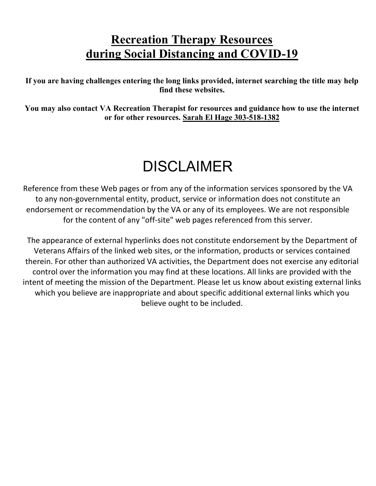# **Recreation Therapy Resources during Social Distancing and COVID-19**

**If you are having challenges entering the long links provided, internet searching the title may help find these websites.** 

**You may also contact VA Recreation Therapist for resources and guidance how to use the internet or for other resources. Sarah El Hage 303-518-1382**

# DISCLAIMER

Reference from these Web pages or from any of the information services sponsored by the VA to any non-governmental entity, product, service or information does not constitute an endorsement or recommendation by the VA or any of its employees. We are not responsible for the content of any "off-site" web pages referenced from this server.

The appearance of external hyperlinks does not constitute endorsement by the Department of Veterans Affairs of the linked web sites, or the information, products or services contained therein. For other than authorized VA activities, the Department does not exercise any editorial control over the information you may find at these locations. All links are provided with the intent of meeting the mission of the Department. Please let us know about existing external links which you believe are inappropriate and about specific additional external links which you believe ought to be included.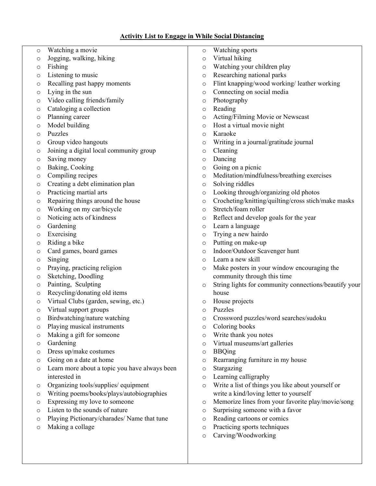#### **Activity List to Engage in While Social Distancing**

- o Watching a movie
- o Jogging, walking, hiking
- o Fishing
- o Listening to music
- o Recalling past happy moments
- o Lying in the sun
- o Video calling friends/family
- o Cataloging a collection
- o Planning career
- o Model building
- o Puzzles
- o Group video hangouts
- o Joining a digital local community group
- o Saving money
- o Baking, Cooking
- o Compiling recipes
- o Creating a debt elimination plan
- o Practicing martial arts
- o Repairing things around the house
- o Working on my car/bicycle
- o Noticing acts of kindness
- o Gardening
- o Exercising
- o Riding a bike
- o Card games, board games
- o Singing
- o Praying, practicing religion
- o Sketching, Doodling
- o Painting, Sculpting
- o Recycling/donating old items
- o Virtual Clubs (garden, sewing, etc.)
- o Virtual support groups
- o Birdwatching/nature watching
- o Playing musical instruments
- o Making a gift for someone
- o Gardening
- o Dress up/make costumes
- o Going on a date at home
- o Learn more about a topic you have always been interested in
- o Organizing tools/supplies/ equipment
- o Writing poems/books/plays/autobiographies
- o Expressing my love to someone
- o Listen to the sounds of nature
- o Playing Pictionary/charades/ Name that tune
- o Making a collage
- o Watching sports
- o Virtual hiking
- o Watching your children play
- o Researching national parks
- o Flint knapping/wood working/ leather working
- o Connecting on social media
- o Photography
- o Reading
- o Acting/Filming Movie or Newscast
- o Host a virtual movie night
- o Karaoke
- o Writing in a journal/gratitude journal
- o Cleaning
- o Dancing
- o Going on a picnic
- o Meditation/mindfulness/breathing exercises
- o Solving riddles
- o Looking through/organizing old photos
- o Crocheting/knitting/quilting/cross stich/make masks
- o Stretch/foam roller
- o Reflect and develop goals for the year
- o Learn a language
- o Trying a new hairdo
- o Putting on make-up
- o Indoor/Outdoor Scavenger hunt
- o Learn a new skill
- o Make posters in your window encouraging the community through this time
- o String lights for community connections/beautify your house
- o House projects
- o Puzzles
- o Crossword puzzles/word searches/sudoku
- o Coloring books
- o Write thank you notes
- o Virtual museums/art galleries
- o BBQing
- o Rearranging furniture in my house
- o Stargazing
- o Learning calligraphy
- o Write a list of things you like about yourself or write a kind/loving letter to yourself
- o Memorize lines from your favorite play/movie/song
- o Surprising someone with a favor
- o Reading cartoons or comics
- o Practicing sports techniques
- o Carving/Woodworking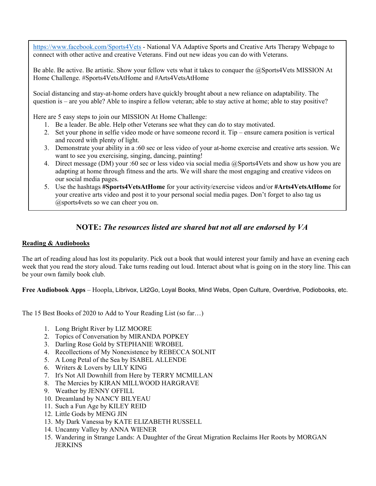<https://www.facebook.com/Sports4Vets> - National VA Adaptive Sports and Creative Arts Therapy Webpage to connect with other active and creative Veterans. Find out new ideas you can do with Veterans.

Be able. Be active. Be artistic. Show your fellow vets what it takes to conquer the @Sports4Vets MISSION At Home Challenge. #Sports4VetsAtHome and #Arts4VetsAtHome

Social distancing and stay-at-home orders have quickly brought about a new reliance on adaptability. The question is – are you able? Able to inspire a fellow veteran; able to stay active at home; able to stay positive?

Here are 5 easy steps to join our MISSION At Home Challenge:

- 1. Be a leader. Be able. Help other Veterans see what they can do to stay motivated.
- 2. Set your phone in selfie video mode or have someone record it. Tip ensure camera position is vertical and record with plenty of light.
- 3. Demonstrate your ability in a :60 sec or less video of your at-home exercise and creative arts session. We want to see you exercising, singing, dancing, painting!
- 4. Direct message (DM) your :60 sec or less video via social media @Sports4Vets and show us how you are adapting at home through fitness and the arts. We will share the most engaging and creative videos on our social media pages.
- 5. Use the hashtags **[#Sports4VetsAtHome](https://www.facebook.com/hashtag/sports4vetsathome?__cft__%5b0%5d=AZVHfw-mO09YEfntLSMcwu7fPyEMuWxoKws_i3fPO4gC96MiRNUr1BLfr_I1PIGXY8Fcaq8g_oFmAO1giR6I5332IlG781pSz9E1F9pM1oO_x5dwATBPQI56Bc4I5AIE80DpNhBuYSTCl5b6L0EgOzXBHtDBQVVw3kME81G8GY255RLKxyHtTh0jcwpgpwma2BH8rIx3ZCyvSdT--nmwqqQt&__tn__=*NK-R)** for your activity/exercise videos and/or **[#Arts4VetsAtHome](https://www.facebook.com/hashtag/arts4vetsathome?__cft__%5b0%5d=AZVHfw-mO09YEfntLSMcwu7fPyEMuWxoKws_i3fPO4gC96MiRNUr1BLfr_I1PIGXY8Fcaq8g_oFmAO1giR6I5332IlG781pSz9E1F9pM1oO_x5dwATBPQI56Bc4I5AIE80DpNhBuYSTCl5b6L0EgOzXBHtDBQVVw3kME81G8GY255RLKxyHtTh0jcwpgpwma2BH8rIx3ZCyvSdT--nmwqqQt&__tn__=*NK-R)** for your creative arts video and post it to your personal social media pages. Don't forget to also tag us @sports4vets so we can cheer you on.

# **NOTE:** *The resources listed are shared but not all are endorsed by VA*

#### **Reading & Audiobooks**

The art of reading aloud has lost its popularity. Pick out a book that would interest your family and have an evening each week that you read the story aloud. Take turns reading out loud. Interact about what is going on in the story line. This can be your own family book club.

**Free Audiobook Apps** – Hoopla, Librivox, Lit2Go, Loyal Books, Mind Webs, Open Culture, Overdrive, Podiobooks, etc.

The 15 Best Books of 2020 to Add to Your Reading List (so far…)

- 1. Long Bright River by LIZ MOORE
- 2. Topics of Conversation by MIRANDA POPKEY
- 3. Darling Rose Gold by STEPHANIE WROBEL
- 4. Recollections of My Nonexistence by REBECCA SOLNIT
- 5. A Long Petal of the Sea by ISABEL ALLENDE
- 6. Writers & Lovers by LILY KING
- 7. It's Not All Downhill from Here by TERRY MCMILLAN
- 8. The Mercies by KIRAN MILLWOOD HARGRAVE
- 9. Weather by JENNY OFFILL
- 10. Dreamland by NANCY BILYEAU
- 11. Such a Fun Age by KILEY REID
- 12. Little Gods by MENG JIN
- 13. My Dark Vanessa by KATE ELIZABETH RUSSELL
- 14. Uncanny Valley by ANNA WIENER
- 15. Wandering in Strange Lands: A Daughter of the Great Migration Reclaims Her Roots by MORGAN **JERKINS**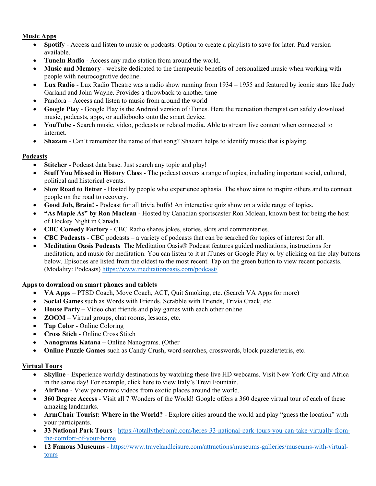#### **Music Apps**

- **Spotify** Access and listen to music or podcasts. Option to create a playlists to save for later. Paid version available.
- **TuneIn Radio**  Access any radio station from around the world.
- **Music and Memory**  website dedicated to the therapeutic benefits of personalized music when working with people with neurocognitive decline.
- **Lux Radio**  Lux Radio Theatre was a radio show running from 1934 1955 and featured by iconic stars like Judy Garland and John Wayne. Provides a throwback to another time
- Pandora Access and listen to music from around the world
- **Google Play**  Google Play is the Android version of iTunes. Here the recreation therapist can safely download music, podcasts, apps, or audiobooks onto the smart device.
- **YouTube**  Search music, video, podcasts or related media. Able to stream live content when connected to internet.
- **Shazam**  Can't remember the name of that song? Shazam helps to identify music that is playing.

#### **Podcasts**

- **Stitcher**  Podcast data base. Just search any topic and play!
- **Stuff You Missed in History Class**  The podcast covers a range of topics, including important social, cultural, political and historical events.
- **Slow Road to Better**  Hosted by people who experience aphasia. The show aims to inspire others and to connect people on the road to recovery.
- **Good Job, Brain!**  Podcast for all trivia buffs! An interactive quiz show on a wide range of topics.
- **"As Maple As" by Ron Maclean**  Hosted by Canadian sportscaster Ron Mclean, known best for being the host of Hockey Night in Canada.
- **CBC Comedy Factory**  CBC Radio shares jokes, stories, skits and commentaries.
- **CBC Podcasts**  CBC podcasts a variety of podcasts that can be searched for topics of interest for all.
- **[Meditation Oasis Podcasts](https://www.meditationoasis.com/podcast/)** The Meditation Oasis® Podcast features guided meditations, instructions for meditation, and music for meditation. You can listen to it at iTunes or Google Play or by clicking on the play buttons below. Episodes are listed from the oldest to the most recent. Tap on the green button to view recent podcasts. (Modality: Podcasts) <https://www.meditationoasis.com/podcast/>

#### **Apps to download on smart phones and tablets**

- **VA Apps** PTSD Coach, Move Coach, ACT, Quit Smoking, etc. (Search VA Apps for more)
- **Social Games** such as Words with Friends, Scrabble with Friends, Trivia Crack, etc.
- **House Party** Video chat friends and play games with each other online
- **ZOOM**  Virtual groups, chat rooms, lessons, etc.
- **Tap Color** Online Coloring
- **Cross Stich** Online Cross Stitch
- **Nanograms Katana** Online Nanograms. (Other
- **Online Puzzle Games** such as Candy Crush, word searches, crosswords, block puzzle/tetris, etc.

#### **Virtual Tours**

- **Skyline**  Experience worldly destinations by watching these live HD webcams. Visit New York City and Africa in the same day! For example, click here to view Italy's Trevi Fountain.
- **AirPano**  View panoramic videos from exotic places around the world.
- **360 Degree Access**  Visit all 7 Wonders of the World! Google offers a 360 degree virtual tour of each of these amazing landmarks.
- **ArmChair Tourist: Where in the World?**  Explore cities around the world and play "guess the location" with your participants.
- **33 National Park Tours**  [https://totallythebomb.com/heres-33-national-park-tours-you-can-take-virtually-from](https://totallythebomb.com/heres-33-national-park-tours-you-can-take-virtually-from-the-comfort-of-your-home)[the-comfort-of-your-home](https://totallythebomb.com/heres-33-national-park-tours-you-can-take-virtually-from-the-comfort-of-your-home)
- **12 Famous Museums** [https://www.travelandleisure.com/attractions/museums-galleries/museums-with-virtual](https://www.travelandleisure.com/attractions/museums-galleries/museums-with-virtual-tours)[tours](https://www.travelandleisure.com/attractions/museums-galleries/museums-with-virtual-tours)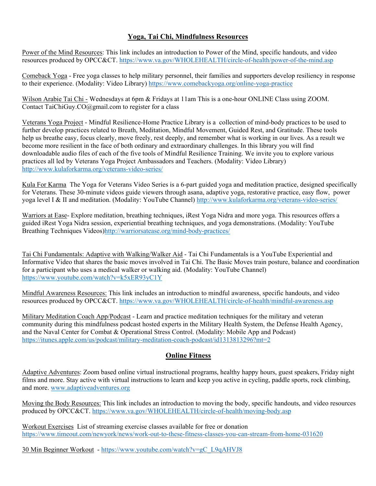## **Yoga, Tai Chi, Mindfulness Resources**

[Power of the Mind Resources:](https://www.va.gov/WHOLEHEALTH/circle-of-health/power-of-the-mind.asp) This link includes an introduction to Power of the Mind, specific handouts, and video resources produced by OPCC&CT.<https://www.va.gov/WHOLEHEALTH/circle-of-health/power-of-the-mind.asp>

[Comeback Yoga](https://www.comebackyoga.org/online-yoga-practice) - Free yoga classes to help military personnel, their families and supporters develop resiliency in response to their experience. (Modality: Video Library)<https://www.comebackyoga.org/online-yoga-practice>

Wilson Arabie Tai Chi - Wednesdays at 6pm & Fridays at 11am This is a one-hour ONLINE Class using ZOOM. Contact TaiChiGuy.CO@gmail.com to register for a class

[Veterans Yoga Project](https://www.veteransyogaproject.org/practice/) - Mindful Resilience-Home Practice Library is a collection of mind-body practices to be used to further develop practices related to Breath, Meditation, Mindful Movement, Guided Rest, and Gratitude. These tools help us breathe easy, focus clearly, move freely, rest deeply, and remember what is working in our lives. As a result we become more resilient in the face of both ordinary and extraordinary challenges. In this library you will find downloadable audio files of each of the five tools of Mindful Resilience Training. We invite you to explore various practices all led by Veterans Yoga Project Ambassadors and Teachers. (Modality: Video Library) <http://www.kulaforkarma.org/veterans-video-series/>

[Kula For Karma](http://www.kulaforkarma.org/veterans-video-series/) The Yoga for Veterans Video Series is a 6-part guided yoga and meditation practice, designed specifically for Veterans. These 30-minute videos guide viewers through asana, adaptive yoga, restorative practice, easy flow, power yoga level I & II and meditation. (Modality: YouTube Channel)<http://www.kulaforkarma.org/veterans-video-series/>

[Warriors at Ease-](http://warriorsatease.org/mind-body-practices/) Explore meditation, breathing techniques, iRest Yoga Nidra and more yoga. This resources offers a guided iRest Yoga Nidra session, experiential breathing techniques, and yoga demonstrations. (Modality: YouTube Breathing Techniques Videos[\)http://warriorsatease.org/mind-body-practices/](http://warriorsatease.org/mind-body-practices/)

[Tai Chi Fundamentals: Adaptive with Walking/Walker Aid](https://www.youtube.com/watch?v=k5xER93yC1Y) - Tai Chi Fundamentals is a YouTube Experiential and Informative Video that shares the basic moves involved in Tai Chi. The Basic Moves train posture, balance and coordination for a participant who uses a medical walker or walking aid. (Modality: YouTube Channel) <https://www.youtube.com/watch?v=k5xER93yC1Y>

[Mindful Awareness Resources:](https://www.va.gov/WHOLEHEALTH/circle-of-health/mindful-awareness.asp) This link includes an introduction to mindful awareness, specific handouts, and video resources produced by OPCC&CT. <https://www.va.gov/WHOLEHEALTH/circle-of-health/mindful-awareness.asp>

[Military Meditation Coach App/Podcast](https://itunes.apple.com/us/podcast/military-meditation-coach-podcast/id1313813296?mt=2) - Learn and practice meditation techniques for the military and veteran community during this mindfulness podcast hosted experts in the Military Health System, the Defense Health Agency, and the Naval Center for Combat & Operational Stress Control. (Modality: Mobile App and Podcast) <https://itunes.apple.com/us/podcast/military-meditation-coach-podcast/id1313813296?mt=2>

# **Online Fitness**

Adaptive Adventures: Zoom based online virtual instructional programs, healthy happy hours, guest speakers, Friday night films and more. Stay active with virtual instructions to learn and keep you active in cycling, paddle sports, rock climbing, and more. [www.adaptiveadventures.org](http://www.adaptiveadventures.org/)

[Moving the Body Resources:](https://www.va.gov/WHOLEHEALTH/circle-of-health/moving-body.asp) This link includes an introduction to moving the body, specific handouts, and video resources produced by OPCC&CT. <https://www.va.gov/WHOLEHEALTH/circle-of-health/moving-body.asp>

[Workout Exercises](https://www.timeout.com/newyork/news/work-out-to-these-fitness-classes-you-can-stream-from-home-031620) List of streaming exercise classes available for free or donation <https://www.timeout.com/newyork/news/work-out-to-these-fitness-classes-you-can-stream-from-home-031620>

[30 Min Beginner Workout](https://www.youtube.com/watch?v=gC_L9qAHVJ8) - [https://www.youtube.com/watch?v=gC\\_L9qAHVJ8](https://www.youtube.com/watch?v=gC_L9qAHVJ8)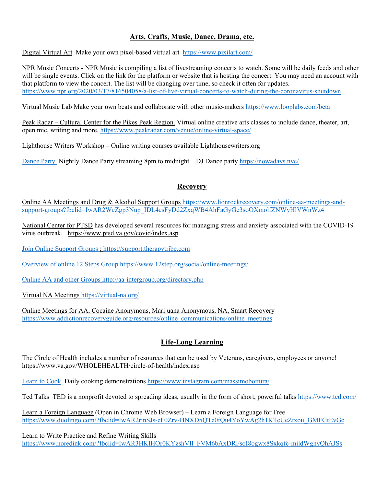# **Arts, Crafts, Music, Dance, Drama, etc.**

[Digital Virtual Art](https://www.pixilart.com/) Make your own pixel-based virtual art <https://www.pixilart.com/>

NPR Music Concerts - NPR Music is compiling a list of livestreaming concerts to watch. Some will be daily feeds and other will be single events. Click on the link for the platform or website that is hosting the concert. You may need an account with that platform to view the concert. The list will be changing over time, so check it often for updates. <https://www.npr.org/2020/03/17/816504058/a-list-of-live-virtual-concerts-to-watch-during-the-coronavirus-shutdown>

[Virtual Music Lab](https://www.looplabs.com/beta) Make your own beats and collaborate with other music-makers<https://www.looplabs.com/beta>

Peak Radar – Cultural Center for the Pikes Peak Region. Virtual online creative arts classes to include dance, theater, art, open mic, writing and more.<https://www.peakradar.com/venue/online-virtual-space/>

Lighthouse Writers Workshop – Online writing courses available Lighthousewriters.org

Dance Party Nightly Dance Party streaming 8pm to midnight. DJ Dance party<https://nowadays.nyc/>

#### **Recovery**

[Online AA Meetings and Drug & Alcohol Support Groups](https://www.lionrockrecovery.com/online-aa-meetings-and-support-groups?fbclid=IwAR2WeZgp3Nup_IDL4esFyDd2ZxqWB4AhFaGyGc3soOXmolfZNWyHlVWnWz4) [https://www.lionrockrecovery.com/online-aa-meetings-and](https://www.lionrockrecovery.com/online-aa-meetings-and-support-groups?fbclid=IwAR2WeZgp3Nup_IDL4esFyDd2ZxqWB4AhFaGyGc3soOXmolfZNWyHlVWnWz4)[support-groups?fbclid=IwAR2WeZgp3Nup\\_IDL4esFyDd2ZxqWB4AhFaGyGc3soOXmolfZNWyHlVWnWz4](https://www.lionrockrecovery.com/online-aa-meetings-and-support-groups?fbclid=IwAR2WeZgp3Nup_IDL4esFyDd2ZxqWB4AhFaGyGc3soOXmolfZNWyHlVWnWz4)

[National Center for PTSD](https://www.ptsd.va.gov/covid/index.asp) has developed several resources for managing stress and anxiety associated with the COVID-19 virus outbreak. <https://www.ptsd.va.gov/covid/index.asp>

Join Online Support Groups : [https://support.therapytribe.com](https://support.therapytribe.com/)

Overview of online 12 Steps Group <https://www.12step.org/social/online-meetings/>

Online AA and other Groups <http://aa-intergroup.org/directory.php>

[Virtual NA Meetings](https://virtual-na.org/) <https://virtual-na.org/>

[Online Meetings for AA, Cocaine Anonymous, Marijuana Anonymous, NA, Smart Recovery](https://www.addictionrecoveryguide.org/resources/online_communications/online_meetings) [https://www.addictionrecoveryguide.org/resources/online\\_communications/online\\_meetings](https://www.addictionrecoveryguide.org/resources/online_communications/online_meetings)

# **Life-Long Learning**

The [Circle of Health](https://www.va.gov/WHOLEHEALTH/circle-of-health/index.asp) includes a number of resources that can be used by Veterans, caregivers, employees or anyone! <https://www.va.gov/WHOLEHEALTH/circle-of-health/index.asp>

Learn to Cook Daily cooking demonstrations <https://www.instagram.com/massimobottura/>

[Ted Talks](https://www.ted.com/) TED is a nonprofit devoted to spreading ideas, usually in the form of short, powerful talks <https://www.ted.com/>

[Learn a Foreign Language](https://www.duolingo.com/?fbclid=IwAR2rinSJs-eF0Zrv-HNXD5QTe0fQu4YoYwAg2h1KTcUeZtxou_GMFGtEvGc) (Open in Chrome Web Browser) – Learn a Foreign Language for Free [https://www.duolingo.com/?fbclid=IwAR2rinSJs-eF0Zrv-HNXD5QTe0fQu4YoYwAg2h1KTcUeZtxou\\_GMFGtEvGc](https://www.duolingo.com/?fbclid=IwAR2rinSJs-eF0Zrv-HNXD5QTe0fQu4YoYwAg2h1KTcUeZtxou_GMFGtEvGc)

[Learn to Write](https://www.noredink.com/?fbclid=IwAR3HKlHOr0KYzshVIl_FVM6bAxDRFsoI8ogwx8Sxkqfc-mildWgnyQhAJSs) Practice and Refine Writing Skills [https://www.noredink.com/?fbclid=IwAR3HKlHOr0KYzshVIl\\_FVM6bAxDRFsoI8ogwx8Sxkqfc-mildWgnyQhAJSs](https://www.noredink.com/?fbclid=IwAR3HKlHOr0KYzshVIl_FVM6bAxDRFsoI8ogwx8Sxkqfc-mildWgnyQhAJSs)